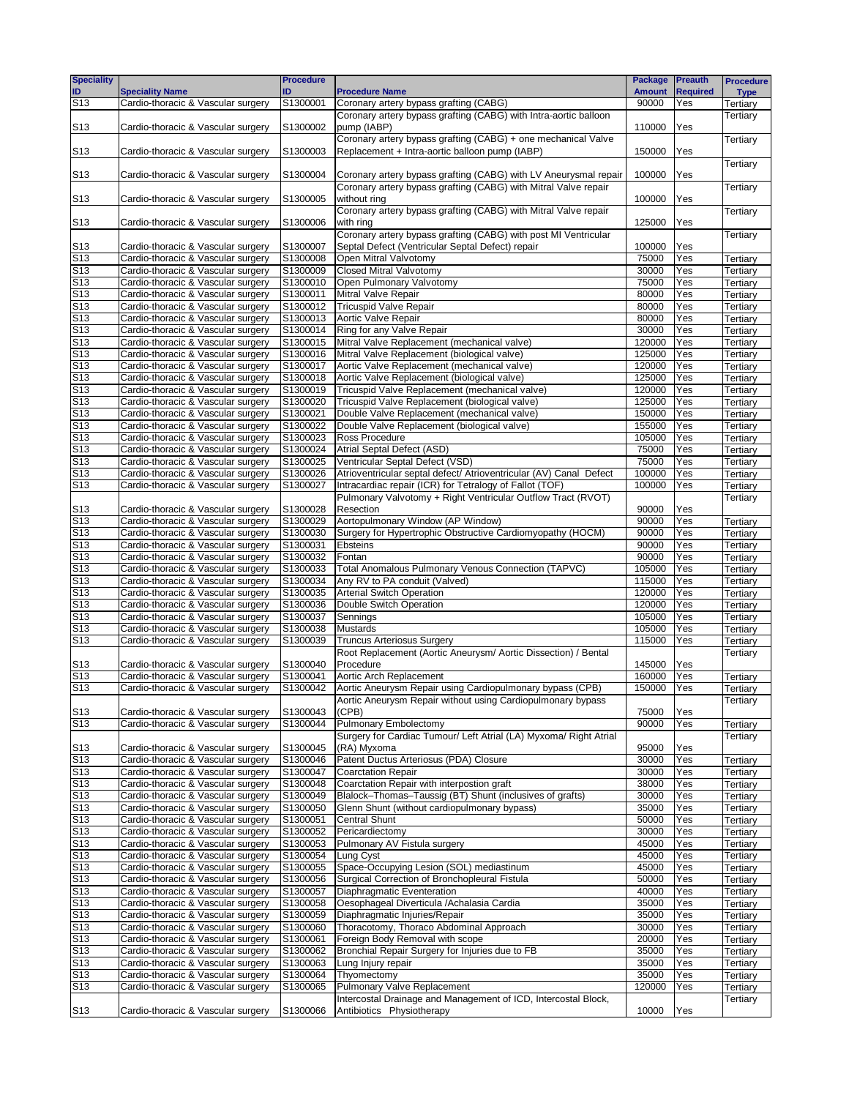| <b>Speciality</b>                  |                                                                          | <b>Procedure</b>     |                                                                                            | <b>Package</b>   | <b>Preauth</b>  | <b>Procedure</b>     |
|------------------------------------|--------------------------------------------------------------------------|----------------------|--------------------------------------------------------------------------------------------|------------------|-----------------|----------------------|
| ID                                 | <b>Speciality Name</b>                                                   | ID                   | <b>Procedure Name</b>                                                                      | <b>Amount</b>    | <b>Required</b> | <b>Type</b>          |
| S <sub>13</sub>                    | Cardio-thoracic & Vascular surgery                                       | S1300001             | Coronary artery bypass grafting (CABG)                                                     | 90000            | Yes             | Tertiary             |
|                                    |                                                                          |                      | Coronary artery bypass grafting (CABG) with Intra-aortic balloon                           |                  |                 | Tertiary             |
| S <sub>13</sub>                    | Cardio-thoracic & Vascular surgery                                       | S1300002             | pump (IABP)<br>Coronary artery bypass grafting (CABG) + one mechanical Valve               | 110000           | Yes             |                      |
| S <sub>13</sub>                    | Cardio-thoracic & Vascular surgery                                       | S1300003             | Replacement + Intra-aortic balloon pump (IABP)                                             | 150000           | Yes             | Tertiary             |
|                                    |                                                                          |                      |                                                                                            |                  |                 | Tertiary             |
| S <sub>13</sub>                    | Cardio-thoracic & Vascular surgery                                       | S1300004             | Coronary artery bypass grafting (CABG) with LV Aneurysmal repair                           | 100000           | Yes             |                      |
|                                    |                                                                          |                      | Coronary artery bypass grafting (CABG) with Mitral Valve repair                            |                  |                 | Tertiary             |
| S <sub>13</sub>                    | Cardio-thoracic & Vascular surgery                                       | S1300005             | without ring                                                                               | 100000           | Yes             |                      |
|                                    |                                                                          |                      | Coronary artery bypass grafting (CABG) with Mitral Valve repair                            |                  |                 | Tertiary             |
| S <sub>13</sub>                    | Cardio-thoracic & Vascular surgery                                       | S1300006             | with ring                                                                                  | 125000           | Yes             |                      |
|                                    |                                                                          |                      | Coronary artery bypass grafting (CABG) with post MI Ventricular                            |                  |                 | Tertiary             |
| S <sub>13</sub>                    | Cardio-thoracic & Vascular surgery                                       | S1300007             | Septal Defect (Ventricular Septal Defect) repair                                           | 100000           | Yes             |                      |
| S <sub>13</sub>                    | Cardio-thoracic & Vascular surgery                                       | S1300008             | Open Mitral Valvotomy                                                                      | 75000            | Yes             | Tertiary             |
| S <sub>13</sub>                    | Cardio-thoracic & Vascular surgery                                       | S1300009             | Closed Mitral Valvotomy                                                                    | 30000            | Yes             | Tertiarv             |
| S <sub>13</sub>                    | Cardio-thoracic & Vascular surgery                                       | S1300010             | Open Pulmonary Valvotomy                                                                   | 75000            | Yes             | Tertiary             |
| S <sub>13</sub>                    | Cardio-thoracic & Vascular surgery                                       | S1300011             | Mitral Valve Repair                                                                        | 80000            | Yes             | Tertiary             |
| S <sub>13</sub>                    | Cardio-thoracic & Vascular surgery                                       | S1300012             | <b>Tricuspid Valve Repair</b>                                                              | 80000            | Yes             | Tertiary             |
| S <sub>13</sub>                    | Cardio-thoracic & Vascular surgery                                       | S1300013             | Aortic Valve Repair                                                                        | 80000            | Yes             | Tertiary             |
| S <sub>13</sub>                    | Cardio-thoracic & Vascular surgery                                       | S1300014             | Ring for any Valve Repair                                                                  | 30000            | Yes             | Tertiary             |
| S <sub>13</sub>                    | Cardio-thoracic & Vascular surgery                                       | S1300015             | Mitral Valve Replacement (mechanical valve)                                                | 120000           | Yes             | Tertiary             |
| S <sub>13</sub>                    | Cardio-thoracic & Vascular surgery                                       | S1300016             | Mitral Valve Replacement (biological valve)                                                | 125000           | Yes             | Tertiary             |
| S <sub>13</sub>                    | Cardio-thoracic & Vascular surgery                                       | S1300017             | Aortic Valve Replacement (mechanical valve)                                                | 120000           | Yes             | Tertiary             |
| S <sub>13</sub>                    | Cardio-thoracic & Vascular surgery                                       | S1300018             | Aortic Valve Replacement (biological valve)                                                | 125000           | Yes             | Tertiary             |
| S <sub>13</sub>                    | Cardio-thoracic & Vascular surgery                                       | S1300019             | Tricuspid Valve Replacement (mechanical valve)                                             | 120000           | Yes             | Tertiary             |
| S <sub>13</sub>                    | Cardio-thoracic & Vascular surgery                                       | S1300020             | Tricuspid Valve Replacement (biological valve)                                             | 125000           | Yes             | Tertiary             |
| S <sub>13</sub><br>S <sub>13</sub> | Cardio-thoracic & Vascular surgery<br>Cardio-thoracic & Vascular surgery | S1300021<br>S1300022 | Double Valve Replacement (mechanical valve)<br>Double Valve Replacement (biological valve) | 150000<br>155000 | Yes<br>Yes      | Tertiary             |
| S <sub>13</sub>                    | Cardio-thoracic & Vascular surgery                                       | S1300023             | Ross Procedure                                                                             | 105000           | Yes             | Tertiary             |
| S <sub>13</sub>                    | Cardio-thoracic & Vascular surgery                                       | S1300024             | Atrial Septal Defect (ASD)                                                                 | 75000            | Yes             | Tertiary<br>Tertiary |
| S <sub>13</sub>                    | Cardio-thoracic & Vascular surgery                                       | S1300025             | Ventricular Septal Defect (VSD)                                                            | 75000            | Yes             | Tertiary             |
| S <sub>13</sub>                    | Cardio-thoracic & Vascular surgery                                       | S1300026             | Atrioventricular septal defect/ Atrioventricular (AV) Canal Defect                         | 100000           | Yes             | Tertiary             |
| S <sub>13</sub>                    | Cardio-thoracic & Vascular surgery                                       | S1300027             | Intracardiac repair (ICR) for Tetralogy of Fallot (TOF)                                    | 100000           | Yes             | Tertiary             |
|                                    |                                                                          |                      | Pulmonary Valvotomy + Right Ventricular Outflow Tract (RVOT)                               |                  |                 | Tertiary             |
| S <sub>13</sub>                    | Cardio-thoracic & Vascular surgery                                       | S1300028             | Resection                                                                                  | 90000            | Yes             |                      |
| S <sub>13</sub>                    | Cardio-thoracic & Vascular surgery                                       | S1300029             | Aortopulmonary Window (AP Window)                                                          | 90000            | Yes             | Tertiary             |
| S <sub>13</sub>                    | Cardio-thoracic & Vascular surgery                                       | S1300030             | Surgery for Hypertrophic Obstructive Cardiomyopathy (HOCM)                                 | 90000            | Yes             | Tertiary             |
| S <sub>13</sub>                    | Cardio-thoracic & Vascular surgery                                       | S1300031             | <b>Ebsteins</b>                                                                            | 90000            | Yes             | Tertiary             |
| S <sub>13</sub>                    | Cardio-thoracic & Vascular surgery                                       | S1300032             | Fontan                                                                                     | 90000            | Yes             | Tertiary             |
| S <sub>13</sub>                    | Cardio-thoracic & Vascular surgery                                       | S1300033             | Total Anomalous Pulmonary Venous Connection (TAPVC)                                        | 105000           | Yes             | Tertiary             |
| S <sub>13</sub>                    | Cardio-thoracic & Vascular surgery                                       | S1300034             | Any RV to PA conduit (Valved)                                                              | 115000           | Yes             | Tertiary             |
| S <sub>13</sub>                    | Cardio-thoracic & Vascular surgery                                       | S1300035             | <b>Arterial Switch Operation</b>                                                           | 120000           | Yes             | Tertiary             |
| S <sub>13</sub>                    | Cardio-thoracic & Vascular surgery                                       | S1300036             | Double Switch Operation                                                                    | 120000           | Yes             | Tertiary             |
| S <sub>13</sub>                    | Cardio-thoracic & Vascular surgery                                       | S1300037             | Sennings                                                                                   | 105000           | Yes             | Tertiary             |
| S <sub>13</sub>                    | Cardio-thoracic & Vascular surgery                                       | S1300038             | <b>Mustards</b>                                                                            | 105000           | Yes             | Tertiary             |
| S <sub>13</sub>                    | Cardio-thoracic & Vascular surgery                                       | S1300039             | <b>Truncus Arteriosus Surgery</b>                                                          | 115000           | Yes             | Tertiary             |
|                                    |                                                                          |                      | Root Replacement (Aortic Aneurysm/ Aortic Dissection) / Bental                             |                  |                 | Tertiary             |
| S <sub>13</sub>                    | Cardio-thoracic & Vascular surgery                                       | S1300040             | Procedure                                                                                  | 145000           | Yes             |                      |
| S <sub>13</sub>                    | Cardio-thoracic & Vascular surgery                                       | S1300041             | Aortic Arch Replacement                                                                    | 160000           | Yes             | Tertiary             |
| S <sub>13</sub>                    | Cardio-thoracic & Vascular surgery                                       | S1300042             | Aortic Aneurysm Repair using Cardiopulmonary bypass (CPB)                                  | 150000           | Yes             | Tertiary             |
|                                    |                                                                          | S1300043             | Aortic Aneurysm Repair without using Cardiopulmonary bypass                                |                  |                 | Tertiary             |
| S13<br>S <sub>13</sub>             | Cardio-thoracic & Vascular surgery<br>Cardio-thoracic & Vascular surgery |                      | (CPB)<br><b>Pulmonary Embolectomy</b>                                                      | 75000            | Yes             |                      |
|                                    |                                                                          | S1300044             | Surgery for Cardiac Tumour/ Left Atrial (LA) Myxoma/ Right Atrial                          | 90000            | Yes             | Tertiary<br>Tertiary |
| S <sub>13</sub>                    | Cardio-thoracic & Vascular surgery                                       | S1300045             | (RA) Myxoma                                                                                | 95000            | Yes             |                      |
| S <sub>13</sub>                    | Cardio-thoracic & Vascular surgery                                       | S1300046             | Patent Ductus Arteriosus (PDA) Closure                                                     | 30000            | Yes             | Tertiary             |
| S <sub>13</sub>                    | Cardio-thoracic & Vascular surgery                                       | S1300047             | <b>Coarctation Repair</b>                                                                  | 30000            | Yes             | Tertiary             |
| S <sub>13</sub>                    | Cardio-thoracic & Vascular surgery                                       | S1300048             | Coarctation Repair with interpostion graft                                                 | 38000            | Yes             | Tertiary             |
| S <sub>13</sub>                    | Cardio-thoracic & Vascular surgery                                       | S1300049             | Blalock-Thomas-Taussig (BT) Shunt (inclusives of grafts)                                   | 30000            | Yes             | Tertiary             |
| S <sub>13</sub>                    | Cardio-thoracic & Vascular surgery                                       | S1300050             | Glenn Shunt (without cardiopulmonary bypass)                                               | 35000            | Yes             | Tertiary             |
| S <sub>13</sub>                    | Cardio-thoracic & Vascular surgery                                       | S1300051             | <b>Central Shunt</b>                                                                       | 50000            | Yes             | Tertiary             |
| S <sub>13</sub>                    | Cardio-thoracic & Vascular surgery                                       | S1300052             | Pericardiectomy                                                                            | 30000            | Yes             | Tertiary             |
| S <sub>13</sub>                    | Cardio-thoracic & Vascular surgery                                       | S1300053             | Pulmonary AV Fistula surgery                                                               | 45000            | Yes             | Tertiary             |
| S <sub>13</sub>                    | Cardio-thoracic & Vascular surgery                                       | S1300054             | Lung Cyst                                                                                  | 45000            | Yes             | Tertiary             |
| S <sub>13</sub>                    | Cardio-thoracic & Vascular surgery                                       | S1300055             | Space-Occupying Lesion (SOL) mediastinum                                                   | 45000            | Yes             | Tertiary             |
| S <sub>13</sub>                    | Cardio-thoracic & Vascular surgery                                       | S1300056             | Surgical Correction of Bronchopleural Fistula                                              | 50000            | Yes             | Tertiary             |
| S <sub>13</sub>                    | Cardio-thoracic & Vascular surgery                                       | S1300057             | Diaphragmatic Eventeration                                                                 | 40000            | Yes             | Tertiary             |
| S <sub>13</sub>                    | Cardio-thoracic & Vascular surgery                                       | S1300058             | Oesophageal Diverticula / Achalasia Cardia                                                 | 35000            | Yes             | Tertiary             |
| S <sub>13</sub>                    | Cardio-thoracic & Vascular surgery                                       | S1300059             | Diaphragmatic Injuries/Repair                                                              | 35000            | Yes             | Tertiary             |
| S <sub>13</sub>                    | Cardio-thoracic & Vascular surgery                                       | S1300060             | Thoracotomy, Thoraco Abdominal Approach                                                    | 30000            | Yes             | Tertiary             |
| S <sub>13</sub>                    | Cardio-thoracic & Vascular surgery                                       | S1300061             | Foreign Body Removal with scope                                                            | 20000            | Yes             | Tertiary             |
| S <sub>13</sub>                    | Cardio-thoracic & Vascular surgery                                       | S1300062             | Bronchial Repair Surgery for Injuries due to FB                                            | 35000            | Yes             | Tertiary             |
| S13                                | Cardio-thoracic & Vascular surgery                                       | S1300063             | Lung Injury repair                                                                         | 35000            | Yes             | Tertiary             |
| S <sub>13</sub>                    | Cardio-thoracic & Vascular surgery                                       | S1300064             | Thyomectomy                                                                                | 35000            | Yes             | Tertiary             |
| S13                                | Cardio-thoracic & Vascular surgery                                       | S1300065             | Pulmonary Valve Replacement                                                                | 120000           | Yes             | Tertiary             |
|                                    |                                                                          |                      | Intercostal Drainage and Management of ICD, Intercostal Block,                             |                  |                 | Tertiary             |
| S <sub>13</sub>                    | Cardio-thoracic & Vascular surgery                                       | S1300066             | Antibiotics Physiotherapy                                                                  | 10000            | Yes             |                      |